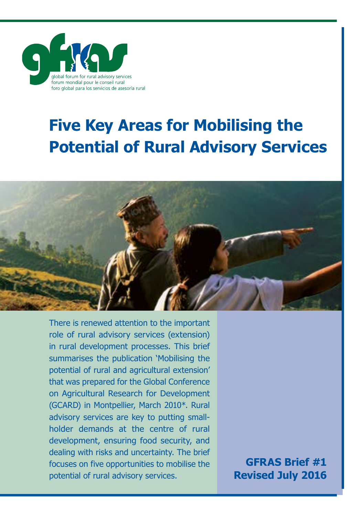

# **Five Key Areas for Mobilising the Potential of Rural Advisory Services**



There is renewed attention to the important role of rural advisory services (extension) in rural development processes. This brief summarises the publication 'Mobilising the potential of rural and agricultural extension' that was prepared for the Global Conference on Agricultural Research for Development (GCARD) in Montpellier, March 2010\*. Rural advisory services are key to putting smallholder demands at the centre of rural development, ensuring food security, and dealing with risks and uncertainty. The brief focuses on five opportunities to mobilise the potential of rural advisory services.

**GFRAS Brief #1 Revised July 2016**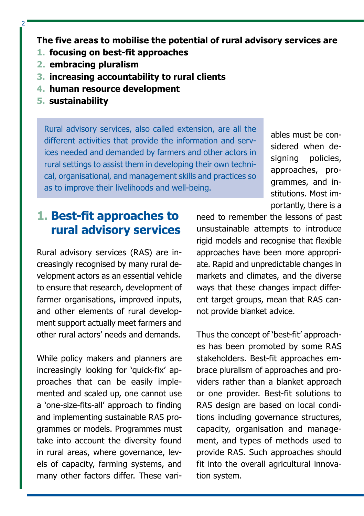**The five areas to mobilise the potential of rural advisory services are**

- **1. focusing on best-fit approaches**
- **2. embracing pluralism**
- **3. increasing accountability to rural clients**
- **4. human resource development**
- **5. sustainability**

 $\overline{2}$ 

Rural advisory services, also called extension, are all the different activities that provide the information and services needed and demanded by farmers and other actors in rural settings to assist them in developing their own technical, organisational, and management skills and practices so as to improve their livelihoods and well-being.

ables must be considered when designing policies, approaches, programmes, and institutions. Most importantly, there is a

#### **1. Best-fit approaches to rural advisory services**

Rural advisory services (RAS) are increasingly recognised by many rural development actors as an essential vehicle to ensure that research, development of farmer organisations, improved inputs, and other elements of rural development support actually meet farmers and other rural actors' needs and demands.

While policy makers and planners are increasingly looking for 'quick-fix' approaches that can be easily implemented and scaled up, one cannot use a 'one-size-fits-all' approach to finding and implementing sustainable RAS programmes or models. Programmes must take into account the diversity found in rural areas, where governance, levels of capacity, farming systems, and many other factors differ. These varineed to remember the lessons of past unsustainable attempts to introduce rigid models and recognise that flexible approaches have been more appropriate. Rapid and unpredictable changes in markets and climates, and the diverse ways that these changes impact different target groups, mean that RAS cannot provide blanket advice.

Thus the concept of 'best-fit' approaches has been promoted by some RAS stakeholders. Best-fit approaches embrace pluralism of approaches and providers rather than a blanket approach or one provider. Best-fit solutions to RAS design are based on local conditions including governance structures, capacity, organisation and management, and types of methods used to provide RAS. Such approaches should fit into the overall agricultural innovation system.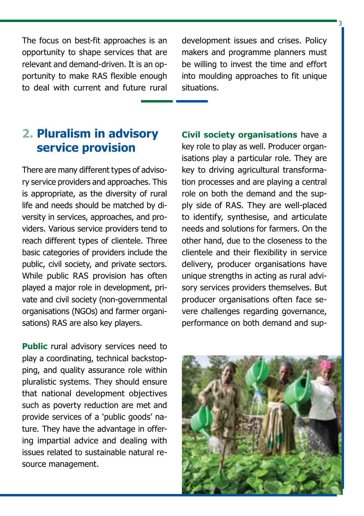The focus on best-fit approaches is an opportunity to shape services that are relevant and demand-driven. It is an opportunity to make RAS flexible enough to deal with current and future rural development issues and crises. Policy makers and programme planners must be willing to invest the time and effort into moulding approaches to fit unique situations.

 $\overline{2}$ 

## **2. Pluralism in advisory service provision**

There are many different types of advisory service providers and approaches. This is appropriate, as the diversity of rural life and needs should be matched by diversity in services, approaches, and providers. Various service providers tend to reach different types of clientele. Three basic categories of providers include the public, civil society, and private sectors. While public RAS provision has often played a major role in development, private and civil society (non-governmental organisations (NGOs) and farmer organisations) RAS are also key players.

**Public** rural advisory services need to play a coordinating, technical backstopping, and quality assurance role within pluralistic systems. They should ensure that national development objectives such as poverty reduction are met and provide services of a 'public goods' nature. They have the advantage in offering impartial advice and dealing with issues related to sustainable natural resource management.

**Civil society organisations** have a key role to play as well. Producer organisations play a particular role. They are key to driving agricultural transformation processes and are playing a central role on both the demand and the supply side of RAS. They are well-placed to identify, synthesise, and articulate needs and solutions for farmers. On the other hand, due to the closeness to the clientele and their flexibility in service delivery, producer organisations have unique strengths in acting as rural advisory services providers themselves. But producer organisations often face severe challenges regarding governance, performance on both demand and sup-

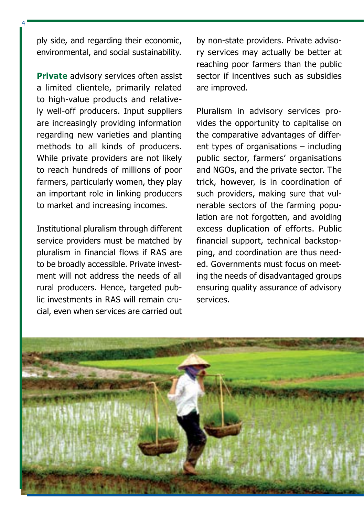ply side, and regarding their economic, environmental, and social sustainability.

4

**Private** advisory services often assist a limited clientele, primarily related to high-value products and relatively well-off producers. Input suppliers are increasingly providing information regarding new varieties and planting methods to all kinds of producers. While private providers are not likely to reach hundreds of millions of poor farmers, particularly women, they play an important role in linking producers to market and increasing incomes.

Institutional pluralism through different service providers must be matched by pluralism in financial flows if RAS are to be broadly accessible. Private investment will not address the needs of all rural producers. Hence, targeted public investments in RAS will remain crucial, even when services are carried out

by non-state providers. Private advisory services may actually be better at reaching poor farmers than the public sector if incentives such as subsidies are improved.

Pluralism in advisory services provides the opportunity to capitalise on the comparative advantages of different types of organisations – including public sector, farmers' organisations and NGOs, and the private sector. The trick, however, is in coordination of such providers, making sure that vulnerable sectors of the farming population are not forgotten, and avoiding excess duplication of efforts. Public financial support, technical backstopping, and coordination are thus needed. Governments must focus on meeting the needs of disadvantaged groups ensuring quality assurance of advisory services.

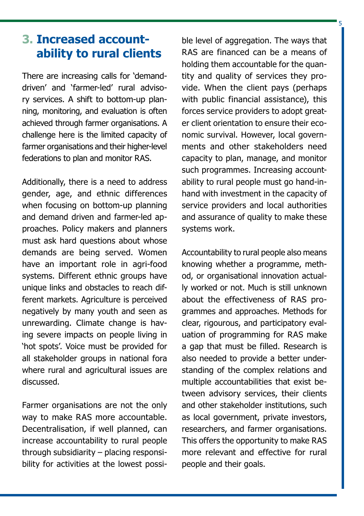# **3. Increased accountability to rural clients**

There are increasing calls for 'demanddriven' and 'farmer-led' rural advisory services. A shift to bottom-up planning, monitoring, and evaluation is often achieved through farmer organisations. A challenge here is the limited capacity of farmer organisations and their higher-level federations to plan and monitor RAS.

Additionally, there is a need to address gender, age, and ethnic differences when focusing on bottom-up planning and demand driven and farmer-led approaches. Policy makers and planners must ask hard questions about whose demands are being served. Women have an important role in agri-food systems. Different ethnic groups have unique links and obstacles to reach different markets. Agriculture is perceived negatively by many youth and seen as unrewarding. Climate change is having severe impacts on people living in 'hot spots'. Voice must be provided for all stakeholder groups in national fora where rural and agricultural issues are discussed.

Farmer organisations are not the only way to make RAS more accountable. Decentralisation, if well planned, can increase accountability to rural people through subsidiarity – placing responsibility for activities at the lowest possi-

ble level of aggregation. The ways that RAS are financed can be a means of holding them accountable for the quantity and quality of services they provide. When the client pays (perhaps with public financial assistance), this forces service providers to adopt greater client orientation to ensure their economic survival. However, local governments and other stakeholders need capacity to plan, manage, and monitor such programmes. Increasing accountability to rural people must go hand-inhand with investment in the capacity of service providers and local authorities and assurance of quality to make these systems work.

5

Accountability to rural people also means knowing whether a programme, method, or organisational innovation actually worked or not. Much is still unknown about the effectiveness of RAS programmes and approaches. Methods for clear, rigourous, and participatory evaluation of programming for RAS make a gap that must be filled. Research is also needed to provide a better understanding of the complex relations and multiple accountabilities that exist between advisory services, their clients and other stakeholder institutions, such as local government, private investors, researchers, and farmer organisations. This offers the opportunity to make RAS more relevant and effective for rural people and their goals.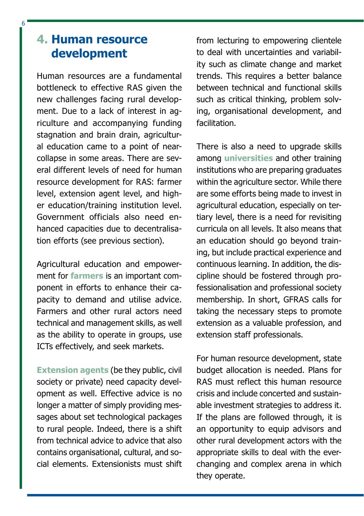### **4. Human resource development**

6

Human resources are a fundamental bottleneck to effective RAS given the new challenges facing rural development. Due to a lack of interest in agriculture and accompanying funding stagnation and brain drain, agricultural education came to a point of nearcollapse in some areas. There are several different levels of need for human resource development for RAS: farmer level, extension agent level, and higher education/training institution level. Government officials also need enhanced capacities due to decentralisation efforts (see previous section).

Agricultural education and empowerment for **farmers** is an important component in efforts to enhance their capacity to demand and utilise advice. Farmers and other rural actors need technical and management skills, as well as the ability to operate in groups, use ICTs effectively, and seek markets.

**Extension agents** (be they public, civil society or private) need capacity development as well. Effective advice is no longer a matter of simply providing messages about set technological packages to rural people. Indeed, there is a shift from technical advice to advice that also contains organisational, cultural, and social elements. Extensionists must shift from lecturing to empowering clientele to deal with uncertainties and variability such as climate change and market trends. This requires a better balance between technical and functional skills such as critical thinking, problem solving, organisational development, and facilitation.

There is also a need to upgrade skills among **universities** and other training institutions who are preparing graduates within the agriculture sector. While there are some efforts being made to invest in agricultural education, especially on tertiary level, there is a need for revisiting curricula on all levels. It also means that an education should go beyond training, but include practical experience and continuous learning. In addition, the discipline should be fostered through professionalisation and professional society membership. In short, GFRAS calls for taking the necessary steps to promote extension as a valuable profession, and extension staff professionals.

For human resource development, state budget allocation is needed. Plans for RAS must reflect this human resource crisis and include concerted and sustainable investment strategies to address it. If the plans are followed through, it is an opportunity to equip advisors and other rural development actors with the appropriate skills to deal with the everchanging and complex arena in which they operate.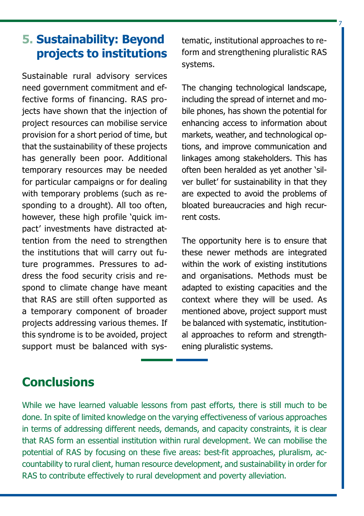# **5. Sustainability: Beyond projects to institutions**

Sustainable rural advisory services need government commitment and effective forms of financing. RAS projects have shown that the injection of project resources can mobilise service provision for a short period of time, but that the sustainability of these projects has generally been poor. Additional temporary resources may be needed for particular campaigns or for dealing with temporary problems (such as responding to a drought). All too often, however, these high profile 'quick impact' investments have distracted attention from the need to strengthen the institutions that will carry out future programmes. Pressures to address the food security crisis and respond to climate change have meant that RAS are still often supported as a temporary component of broader projects addressing various themes. If this syndrome is to be avoided, project support must be balanced with systematic, institutional approaches to reform and strengthening pluralistic RAS systems.

7

The changing technological landscape, including the spread of internet and mobile phones, has shown the potential for enhancing access to information about markets, weather, and technological options, and improve communication and linkages among stakeholders. This has often been heralded as yet another 'silver bullet' for sustainability in that they are expected to avoid the problems of bloated bureaucracies and high recurrent costs.

The opportunity here is to ensure that these newer methods are integrated within the work of existing institutions and organisations. Methods must be adapted to existing capacities and the context where they will be used. As mentioned above, project support must be balanced with systematic, institutional approaches to reform and strengthening pluralistic systems.

# **Conclusions**

While we have learned valuable lessons from past efforts, there is still much to be done. In spite of limited knowledge on the varying effectiveness of various approaches in terms of addressing different needs, demands, and capacity constraints, it is clear that RAS form an essential institution within rural development. We can mobilise the potential of RAS by focusing on these five areas: best-fit approaches, pluralism, accountability to rural client, human resource development, and sustainability in order for RAS to contribute effectively to rural development and poverty alleviation.